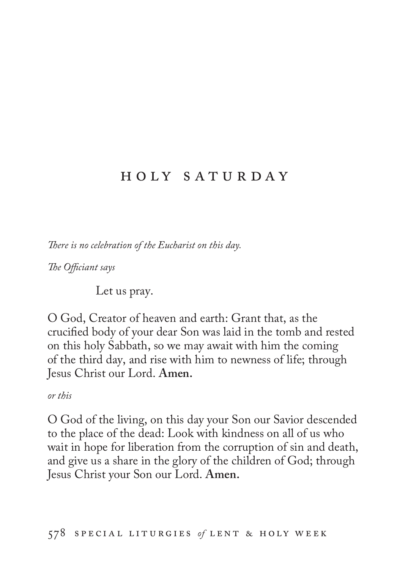## h o l y s a t u r d a y

*There is no celebration of the Eucharist on this day.*

*The Officiant says*

Let us pray.

O God, Creator of heaven and earth: Grant that, as the crucified body of your dear Son was laid in the tomb and rested on this holy Sabbath, so we may await with him the coming of the third day, and rise with him to newness of life; through Jesus Christ our Lord. **Amen.**

*or this*

O God of the living, on this day your Son our Savior descended to the place of the dead: Look with kindness on all of us who wait in hope for liberation from the corruption of sin and death, and give us a share in the glory of the children of God; through Jesus Christ your Son our Lord. **Amen.**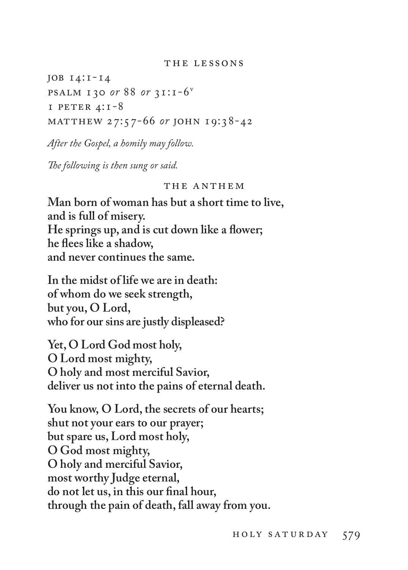## THE LESSONS

job 14:1-14 psalm 130 *or* 88 *or* 31:1-6v  $I$  PETER  $4:I-8$ matthew 27:57-66 *or* john 19:38-42

*After the Gospel, a homily may follow.* 

*The following is then sung or said.*

## THE ANTHEM

**Man born of woman has but a short time to live, and is full of misery. He springs up, and is cut down like a flower; he flees like a shadow, and never continues the same.**

**In the midst of life we are in death: of whom do we seek strength, but you, O Lord, who for our sins are justly displeased?**

**Yet, O Lord God most holy, O Lord most mighty, O holy and most merciful Savior, deliver us not into the pains of eternal death.**

**You know, O Lord, the secrets of our hearts; shut not your ears to our prayer; but spare us, Lord most holy, O God most mighty, O holy and merciful Savior, most worthy Judge eternal, do not let us, in this our final hour, through the pain of death, fall away from you.**